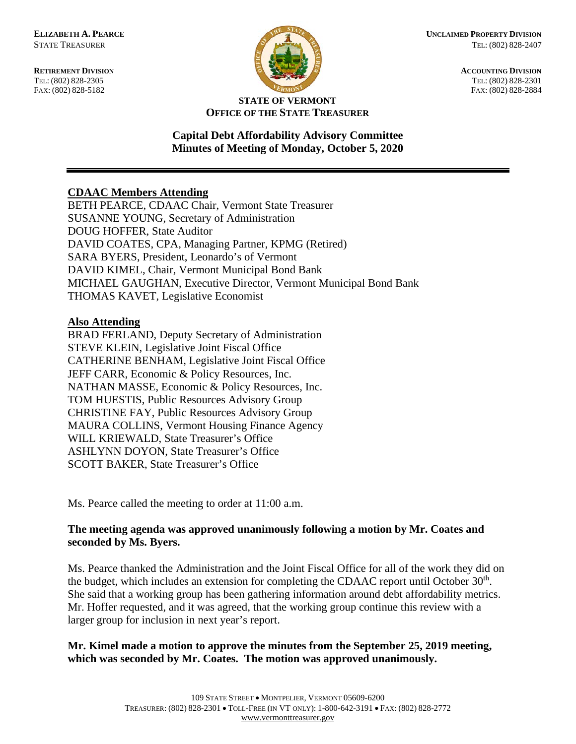**RETIREMENT DIVISION ACCOUNTING DIVISION** TEL: (802) 828-2305<br>
FAX: (802) 828-2305<br>
FAX: (802) 828-2884<br>
TEL: (802) 828-2884 FAX: (802) 828-5182



#### **STATE OF VERMONT OFFICE OF THE STATE TREASURER**

## **Capital Debt Affordability Advisory Committee Minutes of Meeting of Monday, October 5, 2020**

# **CDAAC Members Attending**

BETH PEARCE, CDAAC Chair, Vermont State Treasurer SUSANNE YOUNG, Secretary of Administration DOUG HOFFER, State Auditor DAVID COATES, CPA, Managing Partner, KPMG (Retired) SARA BYERS, President, Leonardo's of Vermont DAVID KIMEL, Chair, Vermont Municipal Bond Bank MICHAEL GAUGHAN, Executive Director, Vermont Municipal Bond Bank THOMAS KAVET, Legislative Economist

### **Also Attending**

BRAD FERLAND, Deputy Secretary of Administration STEVE KLEIN, Legislative Joint Fiscal Office CATHERINE BENHAM, Legislative Joint Fiscal Office JEFF CARR, Economic & Policy Resources, Inc. NATHAN MASSE, Economic & Policy Resources, Inc. TOM HUESTIS, Public Resources Advisory Group CHRISTINE FAY, Public Resources Advisory Group MAURA COLLINS, Vermont Housing Finance Agency WILL KRIEWALD, State Treasurer's Office ASHLYNN DOYON, State Treasurer's Office SCOTT BAKER, State Treasurer's Office

Ms. Pearce called the meeting to order at 11:00 a.m.

## **The meeting agenda was approved unanimously following a motion by Mr. Coates and seconded by Ms. Byers.**

Ms. Pearce thanked the Administration and the Joint Fiscal Office for all of the work they did on the budget, which includes an extension for completing the CDAAC report until October  $30<sup>th</sup>$ . She said that a working group has been gathering information around debt affordability metrics. Mr. Hoffer requested, and it was agreed, that the working group continue this review with a larger group for inclusion in next year's report.

## **Mr. Kimel made a motion to approve the minutes from the September 25, 2019 meeting, which was seconded by Mr. Coates. The motion was approved unanimously.**